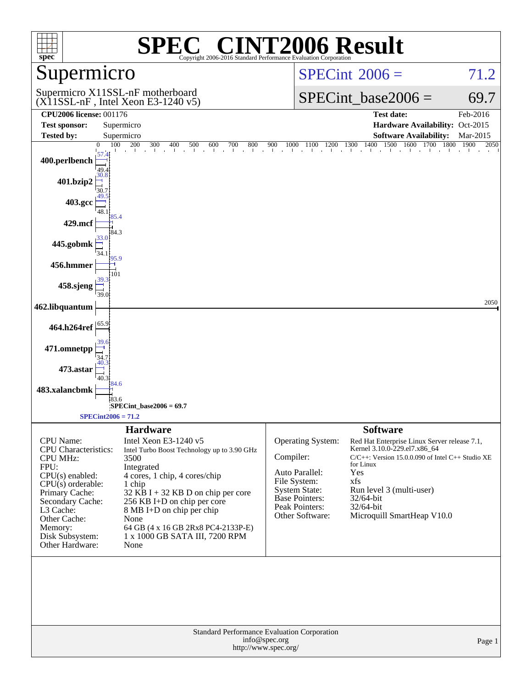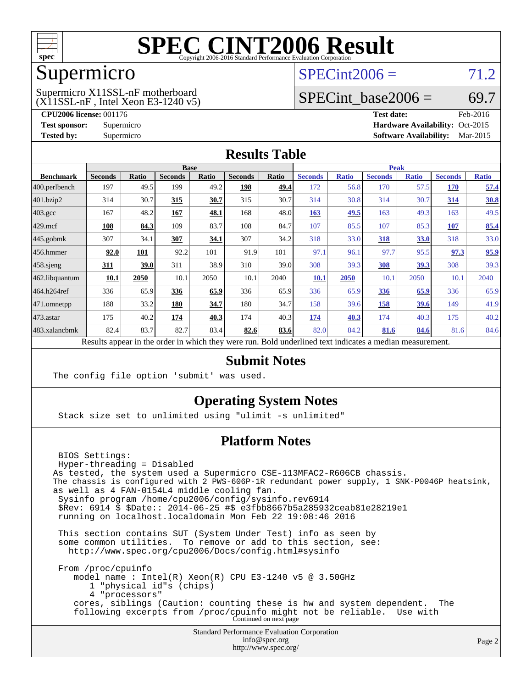

### Supermicro

### $SPECint2006 = 71.2$  $SPECint2006 = 71.2$

(X11SSL-nF , Intel Xeon E3-1240 v5) Supermicro X11SSL-nF motherboard

SPECint base2006 =  $69.7$ 

**[CPU2006 license:](http://www.spec.org/auto/cpu2006/Docs/result-fields.html#CPU2006license)** 001176 **[Test date:](http://www.spec.org/auto/cpu2006/Docs/result-fields.html#Testdate)** Feb-2016 **[Test sponsor:](http://www.spec.org/auto/cpu2006/Docs/result-fields.html#Testsponsor)** Supermicro Supermicro **[Hardware Availability:](http://www.spec.org/auto/cpu2006/Docs/result-fields.html#HardwareAvailability)** Oct-2015 **[Tested by:](http://www.spec.org/auto/cpu2006/Docs/result-fields.html#Testedby)** Supermicro **Supermicro [Software Availability:](http://www.spec.org/auto/cpu2006/Docs/result-fields.html#SoftwareAvailability)** Mar-2015

#### **[Results Table](http://www.spec.org/auto/cpu2006/Docs/result-fields.html#ResultsTable)**

|                    | <b>Base</b>    |       |                |              |                |              | <b>Peak</b>                 |              |                |              |                |              |
|--------------------|----------------|-------|----------------|--------------|----------------|--------------|-----------------------------|--------------|----------------|--------------|----------------|--------------|
| <b>Benchmark</b>   | <b>Seconds</b> | Ratio | <b>Seconds</b> | <b>Ratio</b> | <b>Seconds</b> | <b>Ratio</b> | <b>Seconds</b>              | <b>Ratio</b> | <b>Seconds</b> | <b>Ratio</b> | <b>Seconds</b> | <b>Ratio</b> |
| 400.perlbench      | 197            | 49.5  | 199            | 49.2         | 198            | 49.4         | 172                         | 56.8         | 170            | 57.5         | <b>170</b>     | 57.4         |
| 401.bzip2          | 314            | 30.7  | 315            | 30.7         | 315            | 30.7         | 314                         | 30.8         | 314            | 30.7         | 314            | 30.8         |
| $403.\mathrm{gcc}$ | 167            | 48.2  | 167            | 48.1         | 168            | 48.0         | 163                         | 49.5         | 163            | 49.3         | 163            | 49.5         |
| $429$ .mcf         | 108            | 84.3  | 109            | 83.7         | 108            | 84.7         | 107                         | 85.5         | 107            | 85.3         | 107            | 85.4         |
| $445$ .gobmk       | 307            | 34.1  | 307            | 34.1         | 307            | 34.2         | 318                         | 33.0         | 318            | 33.0         | 318            | 33.0         |
| 456.hmmer          | 92.0           | 101   | 92.2           | 101          | 91.9           | 101          | 97.1                        | 96.1         | 97.7           | 95.5         | 97.3           | 95.9         |
| $458$ .sjeng       | <b>311</b>     | 39.0  | 311            | 38.9         | 310            | 39.0         | 308                         | 39.3         | 308            | 39.3         | 308            | 39.3         |
| 462.libquantum     | 10.1           | 2050  | 10.1           | 2050         | 10.1           | 2040         | 10.1                        | 2050         | 10.1           | 2050         | 10.1           | 2040         |
| 464.h264ref        | 336            | 65.9  | 336            | 65.9         | 336            | 65.9         | 336                         | 65.9         | 336            | 65.9         | 336            | 65.9         |
| 471.omnetpp        | 188            | 33.2  | 180            | 34.7         | 180            | 34.7         | 158                         | 39.6         | 158            | 39.6         | 149            | 41.9         |
| $473.$ astar       | 175            | 40.2  | 174            | 40.3         | 174            | 40.3         | 174                         | 40.3         | 174            | 40.3         | 175            | 40.2         |
| 483.xalancbmk      | 82.4           | 83.7  | 82.7           | 83.4         | 82.6           | 83.6         | 82.0                        | 84.2         | 81.6           | 84.6         | 81.6           | 84.6         |
| D.                 | $\mathbf{1}$   |       |                | 1.7.1.1      |                | T11          | $1 \quad 1$<br>$\mathbf{1}$ | $\mathbf{1}$ | $\cdot$        |              |                |              |

Results appear in the [order in which they were run.](http://www.spec.org/auto/cpu2006/Docs/result-fields.html#RunOrder) Bold underlined text [indicates a median measurement.](http://www.spec.org/auto/cpu2006/Docs/result-fields.html#Median)

#### **[Submit Notes](http://www.spec.org/auto/cpu2006/Docs/result-fields.html#SubmitNotes)**

The config file option 'submit' was used.

#### **[Operating System Notes](http://www.spec.org/auto/cpu2006/Docs/result-fields.html#OperatingSystemNotes)**

Stack size set to unlimited using "ulimit -s unlimited"

#### **[Platform Notes](http://www.spec.org/auto/cpu2006/Docs/result-fields.html#PlatformNotes)**

Standard Performance Evaluation Corporation BIOS Settings: Hyper-threading = Disabled As tested, the system used a Supermicro CSE-113MFAC2-R606CB chassis. The chassis is configured with 2 PWS-606P-1R redundant power supply, 1 SNK-P0046P heatsink, as well as 4 FAN-0154L4 middle cooling fan. Sysinfo program /home/cpu2006/config/sysinfo.rev6914 \$Rev: 6914 \$ \$Date:: 2014-06-25 #\$ e3fbb8667b5a285932ceab81e28219e1 running on localhost.localdomain Mon Feb 22 19:08:46 2016 This section contains SUT (System Under Test) info as seen by some common utilities. To remove or add to this section, see: <http://www.spec.org/cpu2006/Docs/config.html#sysinfo> From /proc/cpuinfo model name : Intel(R) Xeon(R) CPU E3-1240 v5 @ 3.50GHz 1 "physical id"s (chips) 4 "processors" cores, siblings (Caution: counting these is hw and system dependent. The following excerpts from /proc/cpuinfo might not be reliable. Use with Continued on next page

[info@spec.org](mailto:info@spec.org) <http://www.spec.org/>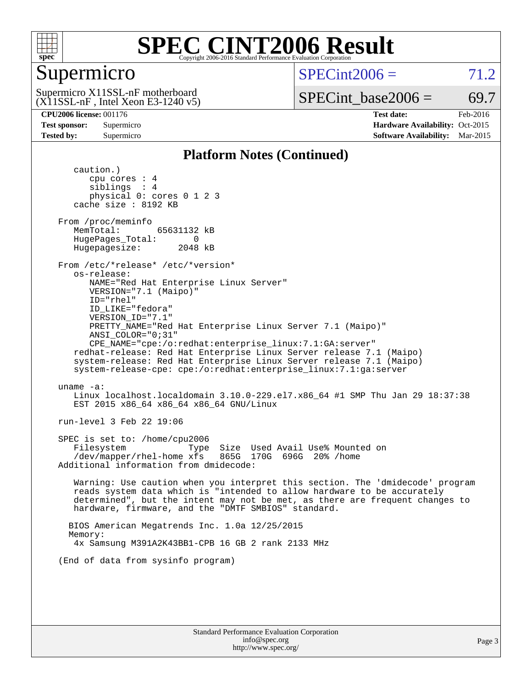

#### Supermicro

 $SPECint2006 = 71.2$  $SPECint2006 = 71.2$ 

 $(X11SSL-nF$ , Intel Xeon E3-1240 v5) Supermicro X11SSL-nF motherboard

SPECint base2006 =  $69.7$ 

**[CPU2006 license:](http://www.spec.org/auto/cpu2006/Docs/result-fields.html#CPU2006license)** 001176 **[Test date:](http://www.spec.org/auto/cpu2006/Docs/result-fields.html#Testdate)** Feb-2016 **[Test sponsor:](http://www.spec.org/auto/cpu2006/Docs/result-fields.html#Testsponsor)** Supermicro Supermicro **[Hardware Availability:](http://www.spec.org/auto/cpu2006/Docs/result-fields.html#HardwareAvailability)** Oct-2015 **[Tested by:](http://www.spec.org/auto/cpu2006/Docs/result-fields.html#Testedby)** Supermicro **Supermicro [Software Availability:](http://www.spec.org/auto/cpu2006/Docs/result-fields.html#SoftwareAvailability)** Mar-2015

#### **[Platform Notes \(Continued\)](http://www.spec.org/auto/cpu2006/Docs/result-fields.html#PlatformNotes)**

 caution.) cpu cores : 4 siblings : 4 physical 0: cores 0 1 2 3 cache size : 8192 KB From /proc/meminfo MemTotal: 65631132 kB HugePages\_Total: 0<br>Hugepagesize: 2048 kB Hugepagesize: From /etc/\*release\* /etc/\*version\* os-release: NAME="Red Hat Enterprise Linux Server" VERSION="7.1 (Maipo)" ID="rhel" ID\_LIKE="fedora" VERSION\_ID="7.1" PRETTY\_NAME="Red Hat Enterprise Linux Server 7.1 (Maipo)" ANSI\_COLOR="0;31" CPE\_NAME="cpe:/o:redhat:enterprise\_linux:7.1:GA:server" redhat-release: Red Hat Enterprise Linux Server release 7.1 (Maipo) system-release: Red Hat Enterprise Linux Server release 7.1 (Maipo) system-release-cpe: cpe:/o:redhat:enterprise\_linux:7.1:ga:server uname -a: Linux localhost.localdomain 3.10.0-229.el7.x86\_64 #1 SMP Thu Jan 29 18:37:38 EST 2015 x86\_64 x86\_64 x86\_64 GNU/Linux run-level 3 Feb 22 19:06 SPEC is set to: /home/cpu2006 Filesystem Type Size Used Avail Use% Mounted on<br>
/dev/mapper/rhel-home xfs 865G 170G 696G 20% /home  $/$ dev/mapper/rhel-home xfs Additional information from dmidecode: Warning: Use caution when you interpret this section. The 'dmidecode' program reads system data which is "intended to allow hardware to be accurately determined", but the intent may not be met, as there are frequent changes to hardware, firmware, and the "DMTF SMBIOS" standard. BIOS American Megatrends Inc. 1.0a 12/25/2015 Memory: 4x Samsung M391A2K43BB1-CPB 16 GB 2 rank 2133 MHz (End of data from sysinfo program)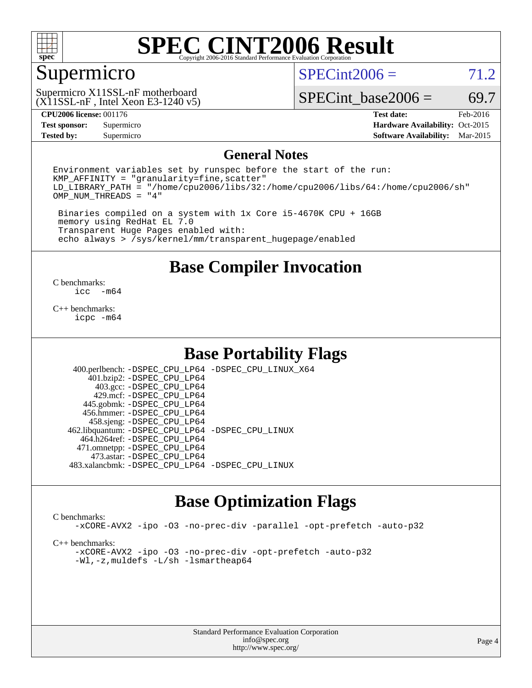

#### Supermicro

 $SPECint2006 = 71.2$  $SPECint2006 = 71.2$ 

 $(X11SSL-nF$ , Intel Xeon E3-1240 v5) Supermicro X11SSL-nF motherboard

SPECint base2006 =  $69.7$ 

**[CPU2006 license:](http://www.spec.org/auto/cpu2006/Docs/result-fields.html#CPU2006license)** 001176 **[Test date:](http://www.spec.org/auto/cpu2006/Docs/result-fields.html#Testdate)** Feb-2016 **[Test sponsor:](http://www.spec.org/auto/cpu2006/Docs/result-fields.html#Testsponsor)** Supermicro Supermicro **[Hardware Availability:](http://www.spec.org/auto/cpu2006/Docs/result-fields.html#HardwareAvailability)** Oct-2015 **[Tested by:](http://www.spec.org/auto/cpu2006/Docs/result-fields.html#Testedby)** Supermicro **Supermicro [Software Availability:](http://www.spec.org/auto/cpu2006/Docs/result-fields.html#SoftwareAvailability)** Mar-2015

#### **[General Notes](http://www.spec.org/auto/cpu2006/Docs/result-fields.html#GeneralNotes)**

Environment variables set by runspec before the start of the run:  $KMP$  AFFINITY = "granularity=fine, scatter" LD\_LIBRARY\_PATH = "/home/cpu2006/libs/32:/home/cpu2006/libs/64:/home/cpu2006/sh" OMP\_NUM\_THREADS = "4"

 Binaries compiled on a system with 1x Core i5-4670K CPU + 16GB memory using RedHat EL 7.0 Transparent Huge Pages enabled with: echo always > /sys/kernel/mm/transparent\_hugepage/enabled

**[Base Compiler Invocation](http://www.spec.org/auto/cpu2006/Docs/result-fields.html#BaseCompilerInvocation)**

 $\frac{C \text{ benchmarks:}}{C \text{ C}}$ -m64

[C++ benchmarks:](http://www.spec.org/auto/cpu2006/Docs/result-fields.html#CXXbenchmarks) [icpc -m64](http://www.spec.org/cpu2006/results/res2016q1/cpu2006-20160308-39309.flags.html#user_CXXbase_intel_icpc_64bit_fc66a5337ce925472a5c54ad6a0de310)

#### **[Base Portability Flags](http://www.spec.org/auto/cpu2006/Docs/result-fields.html#BasePortabilityFlags)**

 400.perlbench: [-DSPEC\\_CPU\\_LP64](http://www.spec.org/cpu2006/results/res2016q1/cpu2006-20160308-39309.flags.html#b400.perlbench_basePORTABILITY_DSPEC_CPU_LP64) [-DSPEC\\_CPU\\_LINUX\\_X64](http://www.spec.org/cpu2006/results/res2016q1/cpu2006-20160308-39309.flags.html#b400.perlbench_baseCPORTABILITY_DSPEC_CPU_LINUX_X64) 401.bzip2: [-DSPEC\\_CPU\\_LP64](http://www.spec.org/cpu2006/results/res2016q1/cpu2006-20160308-39309.flags.html#suite_basePORTABILITY401_bzip2_DSPEC_CPU_LP64) 403.gcc: [-DSPEC\\_CPU\\_LP64](http://www.spec.org/cpu2006/results/res2016q1/cpu2006-20160308-39309.flags.html#suite_basePORTABILITY403_gcc_DSPEC_CPU_LP64) 429.mcf: [-DSPEC\\_CPU\\_LP64](http://www.spec.org/cpu2006/results/res2016q1/cpu2006-20160308-39309.flags.html#suite_basePORTABILITY429_mcf_DSPEC_CPU_LP64) 445.gobmk: [-DSPEC\\_CPU\\_LP64](http://www.spec.org/cpu2006/results/res2016q1/cpu2006-20160308-39309.flags.html#suite_basePORTABILITY445_gobmk_DSPEC_CPU_LP64) 456.hmmer: [-DSPEC\\_CPU\\_LP64](http://www.spec.org/cpu2006/results/res2016q1/cpu2006-20160308-39309.flags.html#suite_basePORTABILITY456_hmmer_DSPEC_CPU_LP64) 458.sjeng: [-DSPEC\\_CPU\\_LP64](http://www.spec.org/cpu2006/results/res2016q1/cpu2006-20160308-39309.flags.html#suite_basePORTABILITY458_sjeng_DSPEC_CPU_LP64) 462.libquantum: [-DSPEC\\_CPU\\_LP64](http://www.spec.org/cpu2006/results/res2016q1/cpu2006-20160308-39309.flags.html#suite_basePORTABILITY462_libquantum_DSPEC_CPU_LP64) [-DSPEC\\_CPU\\_LINUX](http://www.spec.org/cpu2006/results/res2016q1/cpu2006-20160308-39309.flags.html#b462.libquantum_baseCPORTABILITY_DSPEC_CPU_LINUX) 464.h264ref: [-DSPEC\\_CPU\\_LP64](http://www.spec.org/cpu2006/results/res2016q1/cpu2006-20160308-39309.flags.html#suite_basePORTABILITY464_h264ref_DSPEC_CPU_LP64) 471.omnetpp: [-DSPEC\\_CPU\\_LP64](http://www.spec.org/cpu2006/results/res2016q1/cpu2006-20160308-39309.flags.html#suite_basePORTABILITY471_omnetpp_DSPEC_CPU_LP64) 473.astar: [-DSPEC\\_CPU\\_LP64](http://www.spec.org/cpu2006/results/res2016q1/cpu2006-20160308-39309.flags.html#suite_basePORTABILITY473_astar_DSPEC_CPU_LP64) 483.xalancbmk: [-DSPEC\\_CPU\\_LP64](http://www.spec.org/cpu2006/results/res2016q1/cpu2006-20160308-39309.flags.html#suite_basePORTABILITY483_xalancbmk_DSPEC_CPU_LP64) [-DSPEC\\_CPU\\_LINUX](http://www.spec.org/cpu2006/results/res2016q1/cpu2006-20160308-39309.flags.html#b483.xalancbmk_baseCXXPORTABILITY_DSPEC_CPU_LINUX)

### **[Base Optimization Flags](http://www.spec.org/auto/cpu2006/Docs/result-fields.html#BaseOptimizationFlags)**

[C benchmarks](http://www.spec.org/auto/cpu2006/Docs/result-fields.html#Cbenchmarks):

[-xCORE-AVX2](http://www.spec.org/cpu2006/results/res2016q1/cpu2006-20160308-39309.flags.html#user_CCbase_f-xAVX2_5f5fc0cbe2c9f62c816d3e45806c70d7) [-ipo](http://www.spec.org/cpu2006/results/res2016q1/cpu2006-20160308-39309.flags.html#user_CCbase_f-ipo) [-O3](http://www.spec.org/cpu2006/results/res2016q1/cpu2006-20160308-39309.flags.html#user_CCbase_f-O3) [-no-prec-div](http://www.spec.org/cpu2006/results/res2016q1/cpu2006-20160308-39309.flags.html#user_CCbase_f-no-prec-div) [-parallel](http://www.spec.org/cpu2006/results/res2016q1/cpu2006-20160308-39309.flags.html#user_CCbase_f-parallel) [-opt-prefetch](http://www.spec.org/cpu2006/results/res2016q1/cpu2006-20160308-39309.flags.html#user_CCbase_f-opt-prefetch) [-auto-p32](http://www.spec.org/cpu2006/results/res2016q1/cpu2006-20160308-39309.flags.html#user_CCbase_f-auto-p32)

[C++ benchmarks:](http://www.spec.org/auto/cpu2006/Docs/result-fields.html#CXXbenchmarks)

[-xCORE-AVX2](http://www.spec.org/cpu2006/results/res2016q1/cpu2006-20160308-39309.flags.html#user_CXXbase_f-xAVX2_5f5fc0cbe2c9f62c816d3e45806c70d7) [-ipo](http://www.spec.org/cpu2006/results/res2016q1/cpu2006-20160308-39309.flags.html#user_CXXbase_f-ipo) [-O3](http://www.spec.org/cpu2006/results/res2016q1/cpu2006-20160308-39309.flags.html#user_CXXbase_f-O3) [-no-prec-div](http://www.spec.org/cpu2006/results/res2016q1/cpu2006-20160308-39309.flags.html#user_CXXbase_f-no-prec-div) [-opt-prefetch](http://www.spec.org/cpu2006/results/res2016q1/cpu2006-20160308-39309.flags.html#user_CXXbase_f-opt-prefetch) [-auto-p32](http://www.spec.org/cpu2006/results/res2016q1/cpu2006-20160308-39309.flags.html#user_CXXbase_f-auto-p32) [-Wl,-z,muldefs](http://www.spec.org/cpu2006/results/res2016q1/cpu2006-20160308-39309.flags.html#user_CXXbase_link_force_multiple1_74079c344b956b9658436fd1b6dd3a8a) [-L/sh -lsmartheap64](http://www.spec.org/cpu2006/results/res2016q1/cpu2006-20160308-39309.flags.html#user_CXXbase_SmartHeap64_ed4ef857ce90951921efb0d91eb88472)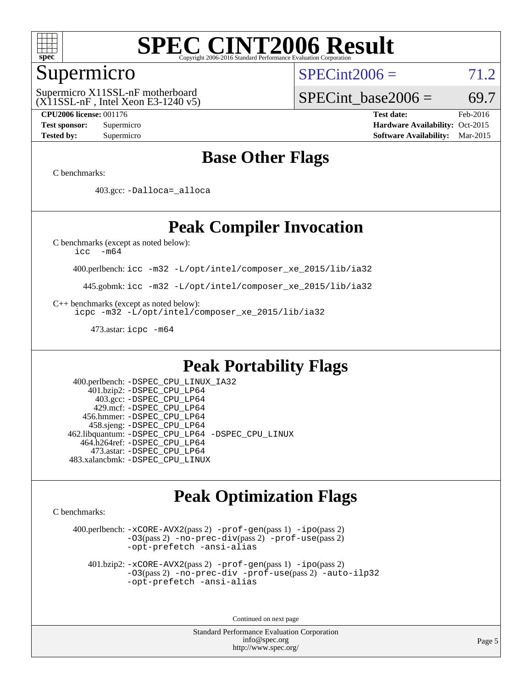

#### Supermicro

 $(X11SSL-nF$ , Intel Xeon E3-1240 v5) Supermicro X11SSL-nF motherboard

 $SPECint2006 = 71.2$  $SPECint2006 = 71.2$ 

SPECint base2006 =  $69.7$ 

**[CPU2006 license:](http://www.spec.org/auto/cpu2006/Docs/result-fields.html#CPU2006license)** 001176 **[Test date:](http://www.spec.org/auto/cpu2006/Docs/result-fields.html#Testdate)** Feb-2016 **[Test sponsor:](http://www.spec.org/auto/cpu2006/Docs/result-fields.html#Testsponsor)** Supermicro Supermicro **[Hardware Availability:](http://www.spec.org/auto/cpu2006/Docs/result-fields.html#HardwareAvailability)** Oct-2015 **[Tested by:](http://www.spec.org/auto/cpu2006/Docs/result-fields.html#Testedby)** Supermicro **Supermicro [Software Availability:](http://www.spec.org/auto/cpu2006/Docs/result-fields.html#SoftwareAvailability)** Mar-2015

### **[Base Other Flags](http://www.spec.org/auto/cpu2006/Docs/result-fields.html#BaseOtherFlags)**

[C benchmarks](http://www.spec.org/auto/cpu2006/Docs/result-fields.html#Cbenchmarks):

403.gcc: [-Dalloca=\\_alloca](http://www.spec.org/cpu2006/results/res2016q1/cpu2006-20160308-39309.flags.html#b403.gcc_baseEXTRA_CFLAGS_Dalloca_be3056838c12de2578596ca5467af7f3)

### **[Peak Compiler Invocation](http://www.spec.org/auto/cpu2006/Docs/result-fields.html#PeakCompilerInvocation)**

[C benchmarks \(except as noted below\)](http://www.spec.org/auto/cpu2006/Docs/result-fields.html#Cbenchmarksexceptasnotedbelow):

[icc -m64](http://www.spec.org/cpu2006/results/res2016q1/cpu2006-20160308-39309.flags.html#user_CCpeak_intel_icc_64bit_f346026e86af2a669e726fe758c88044)

400.perlbench: [icc -m32 -L/opt/intel/composer\\_xe\\_2015/lib/ia32](http://www.spec.org/cpu2006/results/res2016q1/cpu2006-20160308-39309.flags.html#user_peakCCLD400_perlbench_intel_icc_011b86df29f8c679b747245588698a4d)

445.gobmk: [icc -m32 -L/opt/intel/composer\\_xe\\_2015/lib/ia32](http://www.spec.org/cpu2006/results/res2016q1/cpu2006-20160308-39309.flags.html#user_peakCCLD445_gobmk_intel_icc_011b86df29f8c679b747245588698a4d)

[C++ benchmarks \(except as noted below\):](http://www.spec.org/auto/cpu2006/Docs/result-fields.html#CXXbenchmarksexceptasnotedbelow)

[icpc -m32 -L/opt/intel/composer\\_xe\\_2015/lib/ia32](http://www.spec.org/cpu2006/results/res2016q1/cpu2006-20160308-39309.flags.html#user_CXXpeak_intel_icpc_c2c99686a1a582c3e0de0b4806b02cea)

473.astar: [icpc -m64](http://www.spec.org/cpu2006/results/res2016q1/cpu2006-20160308-39309.flags.html#user_peakCXXLD473_astar_intel_icpc_64bit_fc66a5337ce925472a5c54ad6a0de310)

### **[Peak Portability Flags](http://www.spec.org/auto/cpu2006/Docs/result-fields.html#PeakPortabilityFlags)**

 400.perlbench: [-DSPEC\\_CPU\\_LINUX\\_IA32](http://www.spec.org/cpu2006/results/res2016q1/cpu2006-20160308-39309.flags.html#b400.perlbench_peakCPORTABILITY_DSPEC_CPU_LINUX_IA32) 401.bzip2: [-DSPEC\\_CPU\\_LP64](http://www.spec.org/cpu2006/results/res2016q1/cpu2006-20160308-39309.flags.html#suite_peakPORTABILITY401_bzip2_DSPEC_CPU_LP64) 403.gcc: [-DSPEC\\_CPU\\_LP64](http://www.spec.org/cpu2006/results/res2016q1/cpu2006-20160308-39309.flags.html#suite_peakPORTABILITY403_gcc_DSPEC_CPU_LP64) 429.mcf: [-DSPEC\\_CPU\\_LP64](http://www.spec.org/cpu2006/results/res2016q1/cpu2006-20160308-39309.flags.html#suite_peakPORTABILITY429_mcf_DSPEC_CPU_LP64) 456.hmmer: [-DSPEC\\_CPU\\_LP64](http://www.spec.org/cpu2006/results/res2016q1/cpu2006-20160308-39309.flags.html#suite_peakPORTABILITY456_hmmer_DSPEC_CPU_LP64) 458.sjeng: [-DSPEC\\_CPU\\_LP64](http://www.spec.org/cpu2006/results/res2016q1/cpu2006-20160308-39309.flags.html#suite_peakPORTABILITY458_sjeng_DSPEC_CPU_LP64) 462.libquantum: [-DSPEC\\_CPU\\_LP64](http://www.spec.org/cpu2006/results/res2016q1/cpu2006-20160308-39309.flags.html#suite_peakPORTABILITY462_libquantum_DSPEC_CPU_LP64) [-DSPEC\\_CPU\\_LINUX](http://www.spec.org/cpu2006/results/res2016q1/cpu2006-20160308-39309.flags.html#b462.libquantum_peakCPORTABILITY_DSPEC_CPU_LINUX) 464.h264ref: [-DSPEC\\_CPU\\_LP64](http://www.spec.org/cpu2006/results/res2016q1/cpu2006-20160308-39309.flags.html#suite_peakPORTABILITY464_h264ref_DSPEC_CPU_LP64) 473.astar: [-DSPEC\\_CPU\\_LP64](http://www.spec.org/cpu2006/results/res2016q1/cpu2006-20160308-39309.flags.html#suite_peakPORTABILITY473_astar_DSPEC_CPU_LP64) 483.xalancbmk: [-DSPEC\\_CPU\\_LINUX](http://www.spec.org/cpu2006/results/res2016q1/cpu2006-20160308-39309.flags.html#b483.xalancbmk_peakCXXPORTABILITY_DSPEC_CPU_LINUX)

### **[Peak Optimization Flags](http://www.spec.org/auto/cpu2006/Docs/result-fields.html#PeakOptimizationFlags)**

[C benchmarks](http://www.spec.org/auto/cpu2006/Docs/result-fields.html#Cbenchmarks):

 400.perlbench: [-xCORE-AVX2](http://www.spec.org/cpu2006/results/res2016q1/cpu2006-20160308-39309.flags.html#user_peakPASS2_CFLAGSPASS2_LDCFLAGS400_perlbench_f-xAVX2_5f5fc0cbe2c9f62c816d3e45806c70d7)(pass 2) [-prof-gen](http://www.spec.org/cpu2006/results/res2016q1/cpu2006-20160308-39309.flags.html#user_peakPASS1_CFLAGSPASS1_LDCFLAGS400_perlbench_prof_gen_e43856698f6ca7b7e442dfd80e94a8fc)(pass 1) [-ipo](http://www.spec.org/cpu2006/results/res2016q1/cpu2006-20160308-39309.flags.html#user_peakPASS2_CFLAGSPASS2_LDCFLAGS400_perlbench_f-ipo)(pass 2) [-O3](http://www.spec.org/cpu2006/results/res2016q1/cpu2006-20160308-39309.flags.html#user_peakPASS2_CFLAGSPASS2_LDCFLAGS400_perlbench_f-O3)(pass 2) [-no-prec-div](http://www.spec.org/cpu2006/results/res2016q1/cpu2006-20160308-39309.flags.html#user_peakPASS2_CFLAGSPASS2_LDCFLAGS400_perlbench_f-no-prec-div)(pass 2) [-prof-use](http://www.spec.org/cpu2006/results/res2016q1/cpu2006-20160308-39309.flags.html#user_peakPASS2_CFLAGSPASS2_LDCFLAGS400_perlbench_prof_use_bccf7792157ff70d64e32fe3e1250b55)(pass 2) [-opt-prefetch](http://www.spec.org/cpu2006/results/res2016q1/cpu2006-20160308-39309.flags.html#user_peakCOPTIMIZE400_perlbench_f-opt-prefetch) [-ansi-alias](http://www.spec.org/cpu2006/results/res2016q1/cpu2006-20160308-39309.flags.html#user_peakCOPTIMIZE400_perlbench_f-ansi-alias)

 401.bzip2: [-xCORE-AVX2](http://www.spec.org/cpu2006/results/res2016q1/cpu2006-20160308-39309.flags.html#user_peakPASS2_CFLAGSPASS2_LDCFLAGS401_bzip2_f-xAVX2_5f5fc0cbe2c9f62c816d3e45806c70d7)(pass 2) [-prof-gen](http://www.spec.org/cpu2006/results/res2016q1/cpu2006-20160308-39309.flags.html#user_peakPASS1_CFLAGSPASS1_LDCFLAGS401_bzip2_prof_gen_e43856698f6ca7b7e442dfd80e94a8fc)(pass 1) [-ipo](http://www.spec.org/cpu2006/results/res2016q1/cpu2006-20160308-39309.flags.html#user_peakPASS2_CFLAGSPASS2_LDCFLAGS401_bzip2_f-ipo)(pass 2) [-O3](http://www.spec.org/cpu2006/results/res2016q1/cpu2006-20160308-39309.flags.html#user_peakPASS2_CFLAGSPASS2_LDCFLAGS401_bzip2_f-O3)(pass 2) [-no-prec-div](http://www.spec.org/cpu2006/results/res2016q1/cpu2006-20160308-39309.flags.html#user_peakCOPTIMIZEPASS2_CFLAGSPASS2_LDCFLAGS401_bzip2_f-no-prec-div) [-prof-use](http://www.spec.org/cpu2006/results/res2016q1/cpu2006-20160308-39309.flags.html#user_peakPASS2_CFLAGSPASS2_LDCFLAGS401_bzip2_prof_use_bccf7792157ff70d64e32fe3e1250b55)(pass 2) [-auto-ilp32](http://www.spec.org/cpu2006/results/res2016q1/cpu2006-20160308-39309.flags.html#user_peakCOPTIMIZE401_bzip2_f-auto-ilp32) [-opt-prefetch](http://www.spec.org/cpu2006/results/res2016q1/cpu2006-20160308-39309.flags.html#user_peakCOPTIMIZE401_bzip2_f-opt-prefetch) [-ansi-alias](http://www.spec.org/cpu2006/results/res2016q1/cpu2006-20160308-39309.flags.html#user_peakCOPTIMIZE401_bzip2_f-ansi-alias)

Continued on next page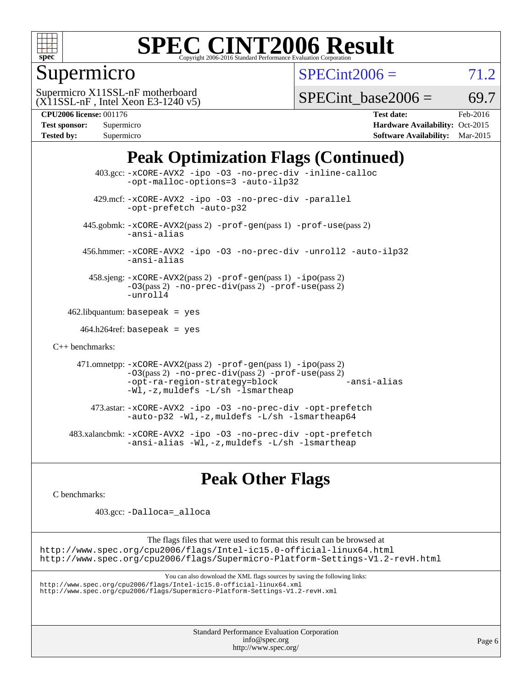

Supermicro

 $SPECint2006 = 71.2$  $SPECint2006 = 71.2$ 

(X11SSL-nF , Intel Xeon E3-1240 v5) Supermicro X11SSL-nF motherboard

SPECint base2006 =  $69.7$ 

| <b>Test sponsor:</b> | Supermicro |
|----------------------|------------|
| <b>Tested by:</b>    | Supermicro |

**[CPU2006 license:](http://www.spec.org/auto/cpu2006/Docs/result-fields.html#CPU2006license)** 001176 **[Test date:](http://www.spec.org/auto/cpu2006/Docs/result-fields.html#Testdate)** Feb-2016 **[Hardware Availability:](http://www.spec.org/auto/cpu2006/Docs/result-fields.html#HardwareAvailability)** Oct-2015 **[Software Availability:](http://www.spec.org/auto/cpu2006/Docs/result-fields.html#SoftwareAvailability)** Mar-2015

## **[Peak Optimization Flags \(Continued\)](http://www.spec.org/auto/cpu2006/Docs/result-fields.html#PeakOptimizationFlags)**

 403.gcc: [-xCORE-AVX2](http://www.spec.org/cpu2006/results/res2016q1/cpu2006-20160308-39309.flags.html#user_peakCOPTIMIZE403_gcc_f-xAVX2_5f5fc0cbe2c9f62c816d3e45806c70d7) [-ipo](http://www.spec.org/cpu2006/results/res2016q1/cpu2006-20160308-39309.flags.html#user_peakCOPTIMIZE403_gcc_f-ipo) [-O3](http://www.spec.org/cpu2006/results/res2016q1/cpu2006-20160308-39309.flags.html#user_peakCOPTIMIZE403_gcc_f-O3) [-no-prec-div](http://www.spec.org/cpu2006/results/res2016q1/cpu2006-20160308-39309.flags.html#user_peakCOPTIMIZE403_gcc_f-no-prec-div) [-inline-calloc](http://www.spec.org/cpu2006/results/res2016q1/cpu2006-20160308-39309.flags.html#user_peakCOPTIMIZE403_gcc_f-inline-calloc) [-opt-malloc-options=3](http://www.spec.org/cpu2006/results/res2016q1/cpu2006-20160308-39309.flags.html#user_peakCOPTIMIZE403_gcc_f-opt-malloc-options_13ab9b803cf986b4ee62f0a5998c2238) [-auto-ilp32](http://www.spec.org/cpu2006/results/res2016q1/cpu2006-20160308-39309.flags.html#user_peakCOPTIMIZE403_gcc_f-auto-ilp32) 429.mcf: [-xCORE-AVX2](http://www.spec.org/cpu2006/results/res2016q1/cpu2006-20160308-39309.flags.html#user_peakCOPTIMIZE429_mcf_f-xAVX2_5f5fc0cbe2c9f62c816d3e45806c70d7) [-ipo](http://www.spec.org/cpu2006/results/res2016q1/cpu2006-20160308-39309.flags.html#user_peakCOPTIMIZE429_mcf_f-ipo) [-O3](http://www.spec.org/cpu2006/results/res2016q1/cpu2006-20160308-39309.flags.html#user_peakCOPTIMIZE429_mcf_f-O3) [-no-prec-div](http://www.spec.org/cpu2006/results/res2016q1/cpu2006-20160308-39309.flags.html#user_peakCOPTIMIZE429_mcf_f-no-prec-div) [-parallel](http://www.spec.org/cpu2006/results/res2016q1/cpu2006-20160308-39309.flags.html#user_peakCOPTIMIZE429_mcf_f-parallel) [-opt-prefetch](http://www.spec.org/cpu2006/results/res2016q1/cpu2006-20160308-39309.flags.html#user_peakCOPTIMIZE429_mcf_f-opt-prefetch) [-auto-p32](http://www.spec.org/cpu2006/results/res2016q1/cpu2006-20160308-39309.flags.html#user_peakCOPTIMIZE429_mcf_f-auto-p32) 445.gobmk: [-xCORE-AVX2](http://www.spec.org/cpu2006/results/res2016q1/cpu2006-20160308-39309.flags.html#user_peakPASS2_CFLAGSPASS2_LDCFLAGS445_gobmk_f-xAVX2_5f5fc0cbe2c9f62c816d3e45806c70d7)(pass 2) [-prof-gen](http://www.spec.org/cpu2006/results/res2016q1/cpu2006-20160308-39309.flags.html#user_peakPASS1_CFLAGSPASS1_LDCFLAGS445_gobmk_prof_gen_e43856698f6ca7b7e442dfd80e94a8fc)(pass 1) [-prof-use](http://www.spec.org/cpu2006/results/res2016q1/cpu2006-20160308-39309.flags.html#user_peakPASS2_CFLAGSPASS2_LDCFLAGS445_gobmk_prof_use_bccf7792157ff70d64e32fe3e1250b55)(pass 2) [-ansi-alias](http://www.spec.org/cpu2006/results/res2016q1/cpu2006-20160308-39309.flags.html#user_peakCOPTIMIZE445_gobmk_f-ansi-alias) 456.hmmer: [-xCORE-AVX2](http://www.spec.org/cpu2006/results/res2016q1/cpu2006-20160308-39309.flags.html#user_peakCOPTIMIZE456_hmmer_f-xAVX2_5f5fc0cbe2c9f62c816d3e45806c70d7) [-ipo](http://www.spec.org/cpu2006/results/res2016q1/cpu2006-20160308-39309.flags.html#user_peakCOPTIMIZE456_hmmer_f-ipo) [-O3](http://www.spec.org/cpu2006/results/res2016q1/cpu2006-20160308-39309.flags.html#user_peakCOPTIMIZE456_hmmer_f-O3) [-no-prec-div](http://www.spec.org/cpu2006/results/res2016q1/cpu2006-20160308-39309.flags.html#user_peakCOPTIMIZE456_hmmer_f-no-prec-div) [-unroll2](http://www.spec.org/cpu2006/results/res2016q1/cpu2006-20160308-39309.flags.html#user_peakCOPTIMIZE456_hmmer_f-unroll_784dae83bebfb236979b41d2422d7ec2) [-auto-ilp32](http://www.spec.org/cpu2006/results/res2016q1/cpu2006-20160308-39309.flags.html#user_peakCOPTIMIZE456_hmmer_f-auto-ilp32) [-ansi-alias](http://www.spec.org/cpu2006/results/res2016q1/cpu2006-20160308-39309.flags.html#user_peakCOPTIMIZE456_hmmer_f-ansi-alias) 458.sjeng: [-xCORE-AVX2](http://www.spec.org/cpu2006/results/res2016q1/cpu2006-20160308-39309.flags.html#user_peakPASS2_CFLAGSPASS2_LDCFLAGS458_sjeng_f-xAVX2_5f5fc0cbe2c9f62c816d3e45806c70d7)(pass 2) [-prof-gen](http://www.spec.org/cpu2006/results/res2016q1/cpu2006-20160308-39309.flags.html#user_peakPASS1_CFLAGSPASS1_LDCFLAGS458_sjeng_prof_gen_e43856698f6ca7b7e442dfd80e94a8fc)(pass 1) [-ipo](http://www.spec.org/cpu2006/results/res2016q1/cpu2006-20160308-39309.flags.html#user_peakPASS2_CFLAGSPASS2_LDCFLAGS458_sjeng_f-ipo)(pass 2) [-O3](http://www.spec.org/cpu2006/results/res2016q1/cpu2006-20160308-39309.flags.html#user_peakPASS2_CFLAGSPASS2_LDCFLAGS458_sjeng_f-O3)(pass 2) [-no-prec-div](http://www.spec.org/cpu2006/results/res2016q1/cpu2006-20160308-39309.flags.html#user_peakPASS2_CFLAGSPASS2_LDCFLAGS458_sjeng_f-no-prec-div)(pass 2) [-prof-use](http://www.spec.org/cpu2006/results/res2016q1/cpu2006-20160308-39309.flags.html#user_peakPASS2_CFLAGSPASS2_LDCFLAGS458_sjeng_prof_use_bccf7792157ff70d64e32fe3e1250b55)(pass 2) [-unroll4](http://www.spec.org/cpu2006/results/res2016q1/cpu2006-20160308-39309.flags.html#user_peakCOPTIMIZE458_sjeng_f-unroll_4e5e4ed65b7fd20bdcd365bec371b81f)  $462$ .libquantum: basepeak = yes  $464.h264$ ref: basepeak = yes [C++ benchmarks:](http://www.spec.org/auto/cpu2006/Docs/result-fields.html#CXXbenchmarks) 471.omnetpp: [-xCORE-AVX2](http://www.spec.org/cpu2006/results/res2016q1/cpu2006-20160308-39309.flags.html#user_peakPASS2_CXXFLAGSPASS2_LDCXXFLAGS471_omnetpp_f-xAVX2_5f5fc0cbe2c9f62c816d3e45806c70d7)(pass 2) [-prof-gen](http://www.spec.org/cpu2006/results/res2016q1/cpu2006-20160308-39309.flags.html#user_peakPASS1_CXXFLAGSPASS1_LDCXXFLAGS471_omnetpp_prof_gen_e43856698f6ca7b7e442dfd80e94a8fc)(pass 1) [-ipo](http://www.spec.org/cpu2006/results/res2016q1/cpu2006-20160308-39309.flags.html#user_peakPASS2_CXXFLAGSPASS2_LDCXXFLAGS471_omnetpp_f-ipo)(pass 2) [-O3](http://www.spec.org/cpu2006/results/res2016q1/cpu2006-20160308-39309.flags.html#user_peakPASS2_CXXFLAGSPASS2_LDCXXFLAGS471_omnetpp_f-O3)(pass 2) [-no-prec-div](http://www.spec.org/cpu2006/results/res2016q1/cpu2006-20160308-39309.flags.html#user_peakPASS2_CXXFLAGSPASS2_LDCXXFLAGS471_omnetpp_f-no-prec-div)(pass 2) [-prof-use](http://www.spec.org/cpu2006/results/res2016q1/cpu2006-20160308-39309.flags.html#user_peakPASS2_CXXFLAGSPASS2_LDCXXFLAGS471_omnetpp_prof_use_bccf7792157ff70d64e32fe3e1250b55)(pass 2) [-opt-ra-region-strategy=block](http://www.spec.org/cpu2006/results/res2016q1/cpu2006-20160308-39309.flags.html#user_peakCXXOPTIMIZE471_omnetpp_f-opt-ra-region-strategy_5382940c29ea30302d682fc74bfe0147) [-ansi-alias](http://www.spec.org/cpu2006/results/res2016q1/cpu2006-20160308-39309.flags.html#user_peakCXXOPTIMIZE471_omnetpp_f-ansi-alias) [-Wl,-z,muldefs](http://www.spec.org/cpu2006/results/res2016q1/cpu2006-20160308-39309.flags.html#user_peakEXTRA_LDFLAGS471_omnetpp_link_force_multiple1_74079c344b956b9658436fd1b6dd3a8a) [-L/sh -lsmartheap](http://www.spec.org/cpu2006/results/res2016q1/cpu2006-20160308-39309.flags.html#user_peakEXTRA_LIBS471_omnetpp_SmartHeap_32f6c82aa1ed9c52345d30cf6e4a0499) 473.astar: [-xCORE-AVX2](http://www.spec.org/cpu2006/results/res2016q1/cpu2006-20160308-39309.flags.html#user_peakCXXOPTIMIZE473_astar_f-xAVX2_5f5fc0cbe2c9f62c816d3e45806c70d7) [-ipo](http://www.spec.org/cpu2006/results/res2016q1/cpu2006-20160308-39309.flags.html#user_peakCXXOPTIMIZE473_astar_f-ipo) [-O3](http://www.spec.org/cpu2006/results/res2016q1/cpu2006-20160308-39309.flags.html#user_peakCXXOPTIMIZE473_astar_f-O3) [-no-prec-div](http://www.spec.org/cpu2006/results/res2016q1/cpu2006-20160308-39309.flags.html#user_peakCXXOPTIMIZE473_astar_f-no-prec-div) [-opt-prefetch](http://www.spec.org/cpu2006/results/res2016q1/cpu2006-20160308-39309.flags.html#user_peakCXXOPTIMIZE473_astar_f-opt-prefetch) [-auto-p32](http://www.spec.org/cpu2006/results/res2016q1/cpu2006-20160308-39309.flags.html#user_peakCXXOPTIMIZE473_astar_f-auto-p32) [-Wl,-z,muldefs](http://www.spec.org/cpu2006/results/res2016q1/cpu2006-20160308-39309.flags.html#user_peakEXTRA_LDFLAGS473_astar_link_force_multiple1_74079c344b956b9658436fd1b6dd3a8a) [-L/sh -lsmartheap64](http://www.spec.org/cpu2006/results/res2016q1/cpu2006-20160308-39309.flags.html#user_peakEXTRA_LIBS473_astar_SmartHeap64_ed4ef857ce90951921efb0d91eb88472) 483.xalancbmk: [-xCORE-AVX2](http://www.spec.org/cpu2006/results/res2016q1/cpu2006-20160308-39309.flags.html#user_peakCXXOPTIMIZE483_xalancbmk_f-xAVX2_5f5fc0cbe2c9f62c816d3e45806c70d7) [-ipo](http://www.spec.org/cpu2006/results/res2016q1/cpu2006-20160308-39309.flags.html#user_peakCXXOPTIMIZE483_xalancbmk_f-ipo) [-O3](http://www.spec.org/cpu2006/results/res2016q1/cpu2006-20160308-39309.flags.html#user_peakCXXOPTIMIZE483_xalancbmk_f-O3) [-no-prec-div](http://www.spec.org/cpu2006/results/res2016q1/cpu2006-20160308-39309.flags.html#user_peakCXXOPTIMIZE483_xalancbmk_f-no-prec-div) [-opt-prefetch](http://www.spec.org/cpu2006/results/res2016q1/cpu2006-20160308-39309.flags.html#user_peakCXXOPTIMIZE483_xalancbmk_f-opt-prefetch) [-ansi-alias](http://www.spec.org/cpu2006/results/res2016q1/cpu2006-20160308-39309.flags.html#user_peakCXXOPTIMIZE483_xalancbmk_f-ansi-alias) [-Wl,-z,muldefs](http://www.spec.org/cpu2006/results/res2016q1/cpu2006-20160308-39309.flags.html#user_peakEXTRA_LDFLAGS483_xalancbmk_link_force_multiple1_74079c344b956b9658436fd1b6dd3a8a) [-L/sh -lsmartheap](http://www.spec.org/cpu2006/results/res2016q1/cpu2006-20160308-39309.flags.html#user_peakEXTRA_LIBS483_xalancbmk_SmartHeap_32f6c82aa1ed9c52345d30cf6e4a0499)

#### **[Peak Other Flags](http://www.spec.org/auto/cpu2006/Docs/result-fields.html#PeakOtherFlags)**

[C benchmarks](http://www.spec.org/auto/cpu2006/Docs/result-fields.html#Cbenchmarks):

403.gcc: [-Dalloca=\\_alloca](http://www.spec.org/cpu2006/results/res2016q1/cpu2006-20160308-39309.flags.html#b403.gcc_peakEXTRA_CFLAGS_Dalloca_be3056838c12de2578596ca5467af7f3)

The flags files that were used to format this result can be browsed at <http://www.spec.org/cpu2006/flags/Intel-ic15.0-official-linux64.html> <http://www.spec.org/cpu2006/flags/Supermicro-Platform-Settings-V1.2-revH.html>

You can also download the XML flags sources by saving the following links:

<http://www.spec.org/cpu2006/flags/Intel-ic15.0-official-linux64.xml> <http://www.spec.org/cpu2006/flags/Supermicro-Platform-Settings-V1.2-revH.xml>